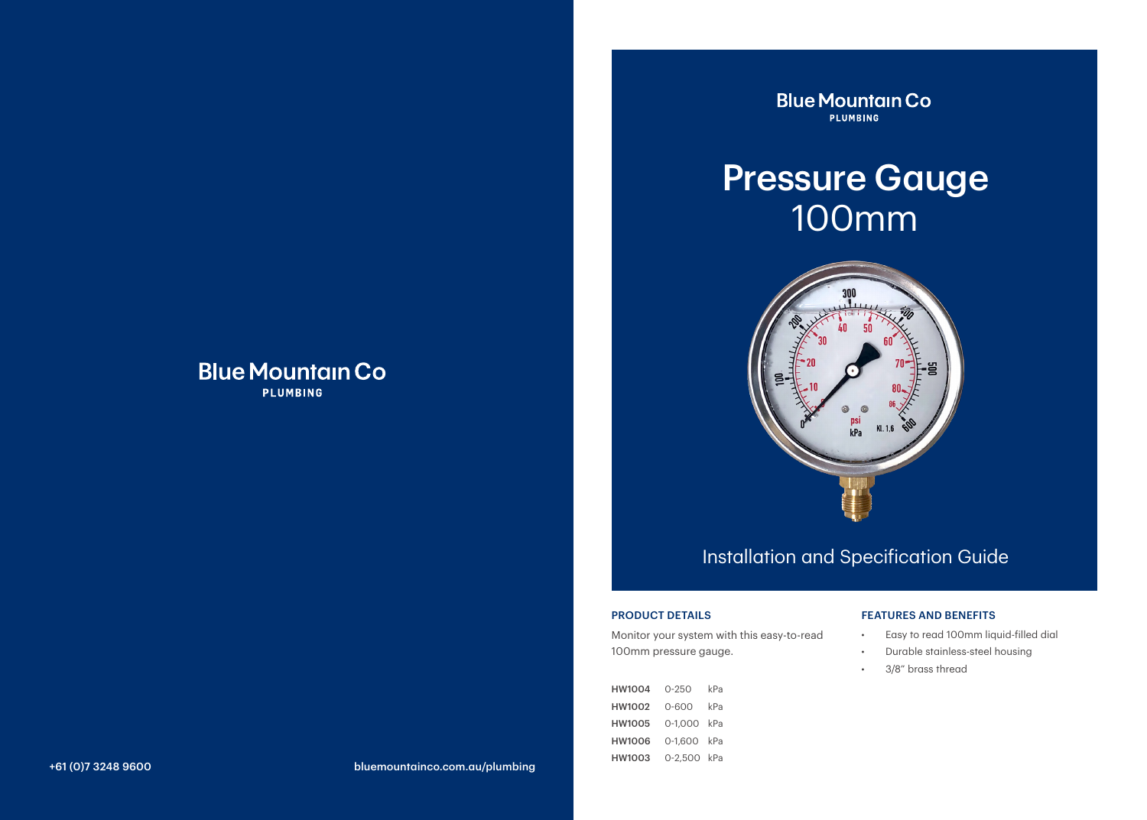### **Blue Mountain Co PLUMBING**

**Blue Mountain Co PLUMBING** 

# Pressure Gauge 100mm



### Installation and Specification Guide

#### PRODUCT DETAILS

Monitor your system with this easy-to-read 100mm pressure gauge.

HW1004 0-250 kPa HW1002 0-600 kPa HW1005 0-1,000 kPa HW1006 0-1,600 kPa HW1003 0-2,500 kPa

#### FEATURES AND BENEFITS

- Easy to read 100mm liquid-filled dial
- Durable stainless-steel housing
- 3/8" brass thread